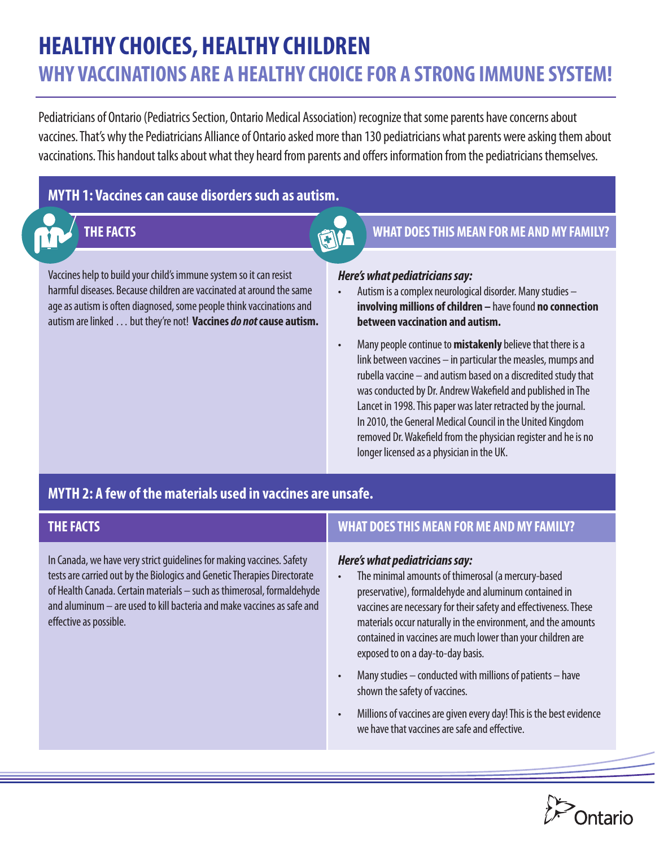# **HEALTHY CHOICES, HEALTHY CHILDREN WHY VACCINATIONS ARE A HEALTHY CHOICE FOR A STRONG IMMUNE SYSTEM!**

Pediatricians of Ontario (Pediatrics Section, Ontario Medical Association) recognize that some parents have concerns about vaccines. That's why the Pediatricians Alliance of Ontario asked more than 130 pediatricians what parents were asking them about vaccinations. This handout talks about what they heard from parents and offers information from the pediatricians themselves.

# **MYTH 1: Vaccines can cause disorders such as autism.**

Vaccines help to build your child's immune system so it can resist harmful diseases. Because children are vaccinated at around the same age as autism is often diagnosed, some people think vaccinations and autism are linked … but they're not! **Vaccines** *do not* **cause autism.** 

# **THE FACTS EXECTS EXECTS EXECTS EXECUTE AND MY FAMILY?**

### *Here's what pediatricians say:*

- Autism is a complex neurological disorder. Many studies **involving millions of children –** have found **no connection between vaccination and autism.**
- Many people continue to **mistakenly** believe that there is a link between vaccines – in particular the measles, mumps and rubella vaccine – and autism based on a discredited study that was conducted by Dr. Andrew Wakefield and published in The Lancet in 1998. This paper was later retracted by the journal. In 2010, the General Medical Council in the United Kingdom removed Dr. Wakefield from the physician register and he is no longer licensed as a physician in the UK.

# **MYTH 2: A few of the materials used in vaccines are unsafe.**

| <b>THE FACTS</b>                                                                                                                                                                                                                                                                                                                | <b>WHAT DOES THIS MEAN FOR ME AND MY FAMILY?</b>                                                                                                                                                                                                                                                                                                                                                                                                                                                                                                                                                                                                    |
|---------------------------------------------------------------------------------------------------------------------------------------------------------------------------------------------------------------------------------------------------------------------------------------------------------------------------------|-----------------------------------------------------------------------------------------------------------------------------------------------------------------------------------------------------------------------------------------------------------------------------------------------------------------------------------------------------------------------------------------------------------------------------------------------------------------------------------------------------------------------------------------------------------------------------------------------------------------------------------------------------|
| In Canada, we have very strict guidelines for making vaccines. Safety<br>tests are carried out by the Biologics and Genetic Therapies Directorate<br>of Health Canada. Certain materials - such as thimerosal, formaldehyde<br>and aluminum - are used to kill bacteria and make vaccines as safe and<br>effective as possible. | Here's what pediatricians say:<br>The minimal amounts of thimerosal (a mercury-based<br>$\bullet$<br>preservative), formaldehyde and aluminum contained in<br>vaccines are necessary for their safety and effectiveness. These<br>materials occur naturally in the environment, and the amounts<br>contained in vaccines are much lower than your children are<br>exposed to on a day-to-day basis.<br>Many studies - conducted with millions of patients - have<br>$\bullet$<br>shown the safety of vaccines.<br>Millions of vaccines are given every day! This is the best evidence<br>$\bullet$<br>we have that vaccines are safe and effective. |
|                                                                                                                                                                                                                                                                                                                                 |                                                                                                                                                                                                                                                                                                                                                                                                                                                                                                                                                                                                                                                     |

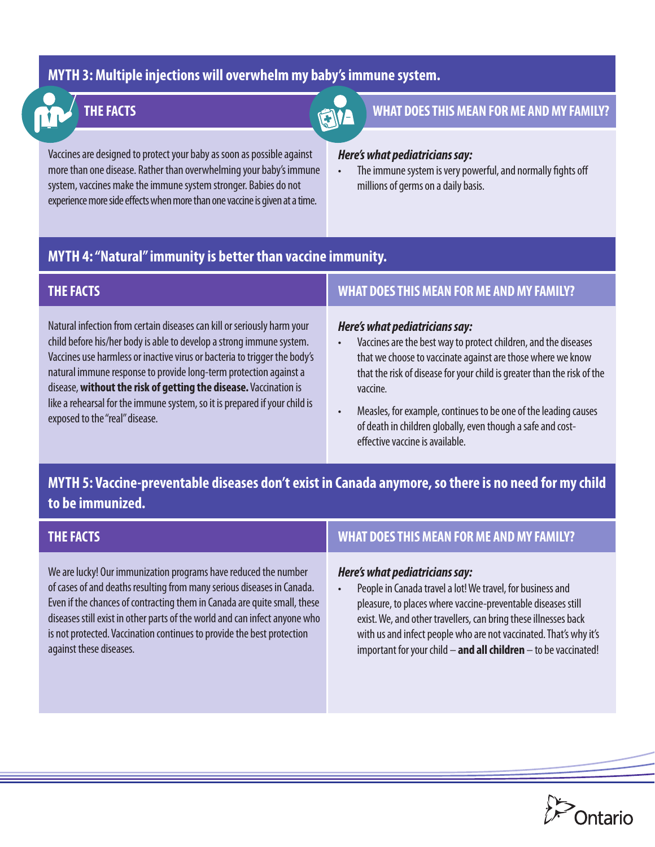## **MYTH 3: Multiple injections will overwhelm my baby's immune system.**

Vaccines are designed to protect your baby as soon as possible against more than one disease. Rather than overwhelming your baby's immune system, vaccines make the immune system stronger. Babies do not experience more side effects when more than one vaccine is given at a time.

is not protected. Vaccination continues to provide the best protection

against these diseases.

# **THE FACTS EXECUTE AND MY FAMILY? WHAT DOES THIS MEAN FOR ME AND MY FAMILY?**

### *Here's what pediatricians say:*

The immune system is very powerful, and normally fights off millions of germs on a daily basis.

# **MYTH 4: "Natural" immunity is better than vaccine immunity.**

| <b>THE FACTS</b>                                                                                                                                                                                                                                                                                                                                                                                                                                                                      | <b>WHAT DOES THIS MEAN FOR ME AND MY FAMILY?</b>                                                                                                                                                                                                                                                                                                                                                                                          |
|---------------------------------------------------------------------------------------------------------------------------------------------------------------------------------------------------------------------------------------------------------------------------------------------------------------------------------------------------------------------------------------------------------------------------------------------------------------------------------------|-------------------------------------------------------------------------------------------------------------------------------------------------------------------------------------------------------------------------------------------------------------------------------------------------------------------------------------------------------------------------------------------------------------------------------------------|
| Natural infection from certain diseases can kill or seriously harm your<br>child before his/her body is able to develop a strong immune system.<br>Vaccines use harmless or inactive virus or bacteria to trigger the body's<br>natural immune response to provide long-term protection against a<br>disease, without the risk of getting the disease. Vaccination is<br>like a rehearsal for the immune system, so it is prepared if your child is<br>exposed to the "real" disease. | Here's what pediatricians say:<br>Vaccines are the best way to protect children, and the diseases<br>$\bullet$<br>that we choose to vaccinate against are those where we know<br>that the risk of disease for your child is greater than the risk of the<br>vaccine.<br>Measles, for example, continues to be one of the leading causes<br>of death in children globally, even though a safe and cost-<br>effective vaccine is available. |

# **MYTH 5: Vaccine-preventable diseases don't exist in Canada anymore, so there is no need for my child to be immunized.**

| <b>THE FACTS</b>                                                           | <b>WHAT DOES THIS MEAN FOR ME AND MY FAMILY?</b>                        |
|----------------------------------------------------------------------------|-------------------------------------------------------------------------|
| We are lucky! Our immunization programs have reduced the number            | Here's what pediatricians say:                                          |
| of cases of and deaths resulting from many serious diseases in Canada.     | People in Canada travel a lot! We travel, for business and<br>$\bullet$ |
| Even if the chances of contracting them in Canada are quite small, these   | pleasure, to places where vaccine-preventable diseases st               |
| diseases still exist in other parts of the world and can infect anyone who | exist. We, and other travellers, can bring these illnesses ba           |

r business and able diseases still Ve, and other travellers, can bring these illnesses back with us and infect people who are not vaccinated. That's why it's important for your child – **and all children** – to be vaccinated!

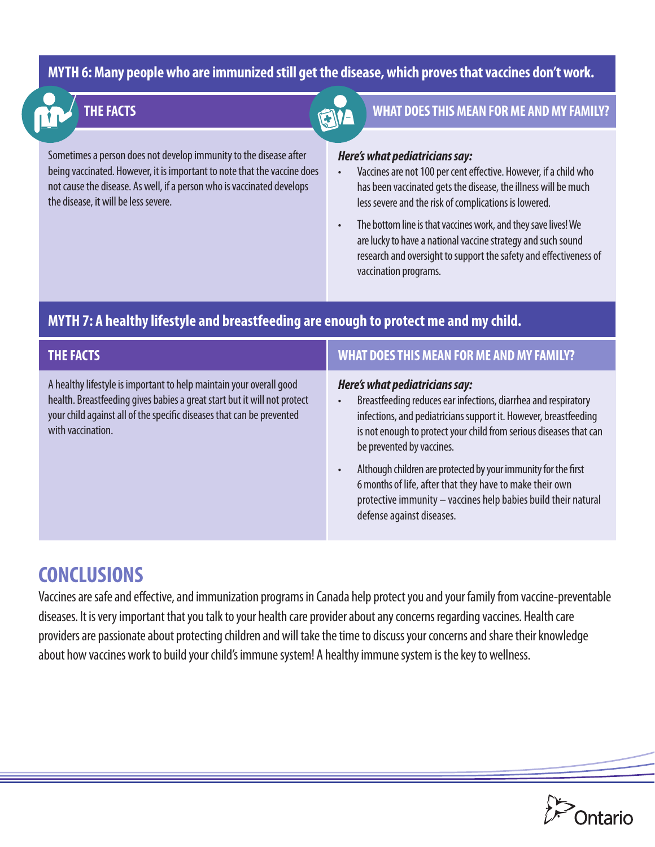### **MYTH 6: Many people who are immunized still get the disease, which proves that vaccines don't work.**

Sometimes a person does not develop immunity to the disease after being vaccinated. However, it is important to note that the vaccine does not cause the disease. As well, if a person who is vaccinated develops the disease, it will be less severe.

# **THE FACTS EXECUTE THE FACTS WHAT DOES THIS MEAN FOR ME AND MY FAMILY?**

### *Here's what pediatricians say:*

- Vaccines are not 100 per cent effective. However, if a child who has been vaccinated gets the disease, the illness will be much less severe and the risk of complications is lowered.
- The bottom line is that vaccines work, and they save lives! We are lucky to have a national vaccine strategy and such sound research and oversight to support the safety and effectiveness of vaccination programs.

## **MYTH 7: A healthy lifestyle and breastfeeding are enough to protect me and my child.**

| THE FACTS                                                                                                                                                                                                                                     | <b>WHAT DOES THIS MEAN FOR ME AND MY FAMILY?</b>                                                                                                                                                                                                                        |
|-----------------------------------------------------------------------------------------------------------------------------------------------------------------------------------------------------------------------------------------------|-------------------------------------------------------------------------------------------------------------------------------------------------------------------------------------------------------------------------------------------------------------------------|
| A healthy lifestyle is important to help maintain your overall good<br>health. Breastfeeding gives babies a great start but it will not protect<br>your child against all of the specific diseases that can be prevented<br>with vaccination. | Here's what pediatricians say:<br>Breastfeeding reduces ear infections, diarrhea and respiratory<br>infections, and pediatricians support it. However, breastfeeding<br>is not enough to protect your child from serious diseases that can<br>be prevented by vaccines. |
|                                                                                                                                                                                                                                               | Although children are protected by your immunity for the first<br>6 months of life, after that they have to make their own<br>protective immunity - vaccines help babies build their natural<br>defense against diseases.                                               |

# **CONCLUSIONS**

Vaccines are safe and effective, and immunization programs in Canada help protect you and your family from vaccine-preventable diseases. It is very important that you talk to your health care provider about any concerns regarding vaccines. Health care providers are passionate about protecting children and will take the time to discuss your concerns and share their knowledge about how vaccines work to build your child's immune system! A healthy immune system is the key to wellness.